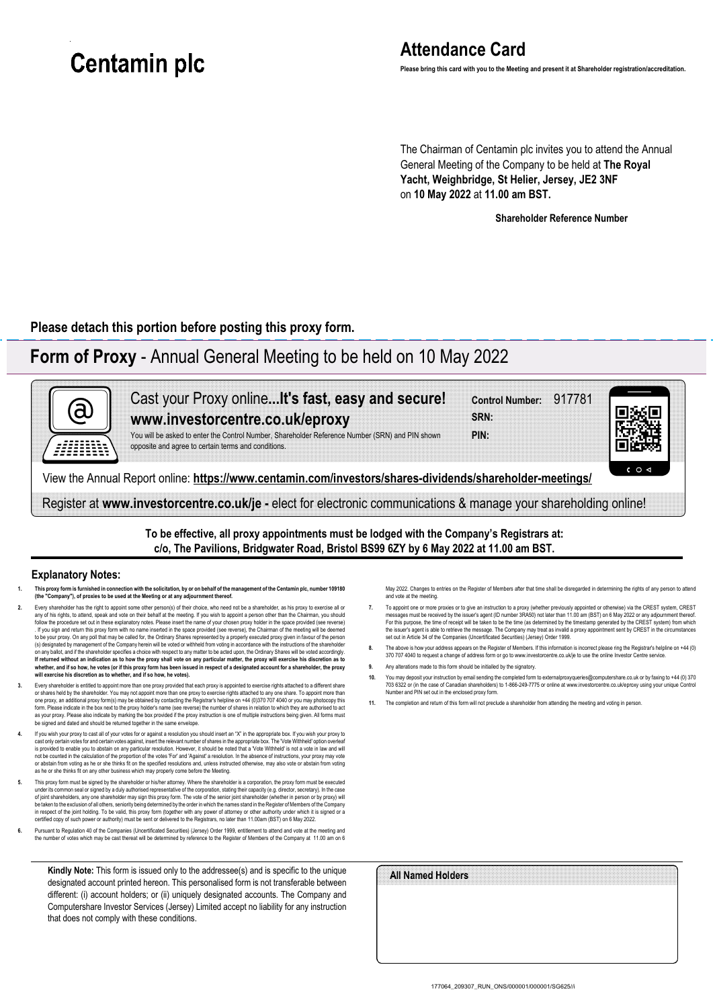# **Centamin plc**

# **Attendance Card**

**Please bring this card with you to the Meeting and present it at Shareholder registration/accreditation.**

The Chairman of Centamin plc invites you to attend the Annual General Meeting of the Company to be held at **The Royal Yacht, Weighbridge, St Helier, Jersey, JE2 3NF** on **10 May 2022** at **11.00 am BST.**

**Shareholder Reference Number**

**Please detach this portion before posting this proxy form.**

## **Form of Proxy** - Annual General Meeting to be held on 10 May 2022



**To be effective, all proxy appointments must be lodged with the Company's Registrars at: c/o, The Pavilions, Bridgwater Road, Bristol BS99 6ZY by 6 May 2022 at 11.00 am BST.**

#### **Explanatory Notes:**

- **1. This proxy form is furnished in connection with the solicitation, by or on behalf of the management of the Centamin plc, number 109180 (the "Company"), of proxies to be used at the Meeting or at any adjournment thereof.**
- Buery shareholder has the right to appoint some other person(s) of their choice, who need not be a shareholder, as his proxy to exercise all or and the Chairman, you should all or and the Chairman, you should all or and th follow the procedure set out in these explanatory notes. Please insert the name of your chosen proxy holder in the space provided (see reverse) . If you sign and return this proxy form with no name inserted in the space provided (see reverse), the Chairman of the meeting will be deemed to be your proxy. On any poll that may be called for, the Ordinary Shares represented by a properly executed proxy given in favour of the person<br>(s) designated by management of the Company herein will be voted or withheld **whether, and if so how, he votes (or if this proxy form has been issued in respect of a designated account for a shareholder, the proxy will exercise his discretion as to whether, and if so how, he votes).**
- **3.** Every shareholder is entitled to appoint more than one proxy provided that each proxy is appointed to exercise rights attached to a different share or shares held by the shareholder. You may not appoint more than one proxy to exercise rights attached to any one share. To appoint more than one proxy, an additional proxy form(s) may be obtained by contacting the Registrar's helpline on +44 (0)370 707 4040 or you may photocopy this<br>form. Please indicate in the box next to the proxy holders name (see reverse) t
- **4.** If you wish your proxy to cast all of your votes for or against a resolution you should insert an "X" in the appropriate box. If you wish your proxy to cast only certain votes for and certain votes against, insert the relevant number of shares in the appropriate box. The 'Vote Withheld' option over is provided to enable you to abstain on any particular resolution. However, it should be noted that a 'Vote Withheld' is not a vote in law and wil<br>not be counted in the calculation of the proportion of the votes "For'and ' as he or she thinks fit on any other business which may properly come before the Meeting.
- 5. This proxy form must be signed by the shareholder or his/her attorney. Where the shareholder is a corporation, the proxy form must be executed<br>under its common seal or signed by a duly authorised representative of the c be taken to the exclusion of all others, seniority being determined by the order in which the names stand in the Register of Members of the Company in respect of the joint holding. To be valid, this proxy form (together with any power of attorney or other authority under which it is signed or a<br>certified copy of such power or authority) must be sent or delivered to th
- **6.** Pursuant to Regulation 40 of the Companies (Uncertificated Securities) (Jersey) Order 1999, entitlement to attend and vote at the meeting and the number of votes which may be cast thereat will be determined by reference to the Register of Members of the Company at 11.00 am on 6

**Kindly Note:** This form is issued only to the addressee(s) and is specific to the unique designated account printed hereon. This personalised form is not transferable between different: (i) account holders; or (ii) uniquely designated accounts. The Company and Computershare Investor Services (Jersey) Limited accept no liability for any instruction that does not comply with these conditions.

May 2022. Changes to entries on the Register of Members after that time shall be disregarded in determining the rights of any person to attend and vote at the meeting.

- To appoint one or more proxies or to give an instruction to a proxy (whether previously appointed or otherwise) via the CREST system, CREST<br>messages must be received by the issuer's agent (ID number 3RA50) not later than 1 the issuer's agent is able to retrieve the message. The Company may treat as invalid a proxy appointment sent by CREST in the circumstances<br>set out in Article 34 of the Companies (Uncertificated Securities) (Jersey) Order
- 8. The above is how your address appears on the Register of Members. If this information is incorrect please ring the Registrar's helpline on +44 (0)<br>370 707 4040 to request a change of address form or go to www.investorce
- **9.** Any alterations made to this form should be initialled by the signatory.
- 10. You may deposit your instruction by email sending the completed form to externalproxyqueries@computershare.co.uk or by faxing to +44 (0) 370<br>TOS 6322 or (in the case of Canadian shareholders) to 1-866-249-7775 or onlin
- **11.** The completion and return of this form will not preclude a shareholder from attending the meeting and voting in person.

| All Named Holders |  |  |
|-------------------|--|--|
|                   |  |  |
|                   |  |  |
|                   |  |  |